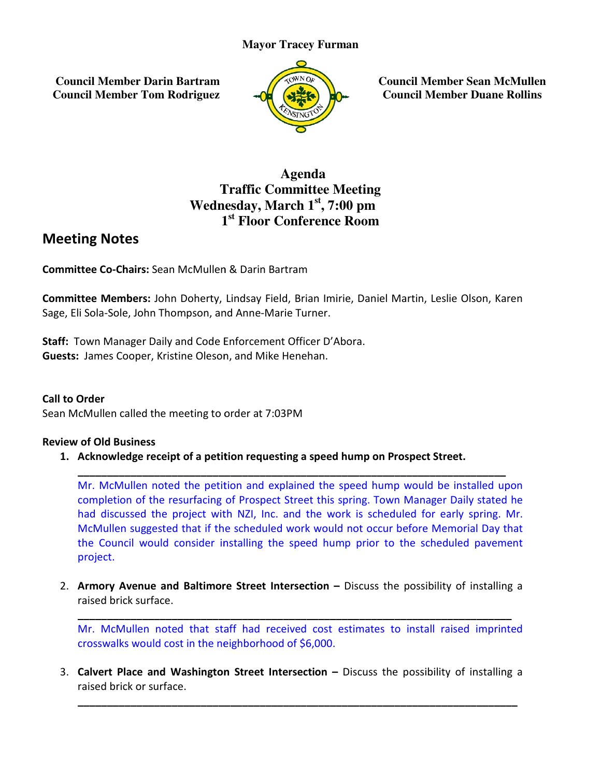### **Mayor Tracey Furman**

 **Council Member Darin Bartram Council Member Tom Rodriguez**



**Council Member Sean McMullen Member Sean McMullenCouncil Member Duane Rollins**

## **Traffic Committee Meeting** Wednesday, March 1<sup>st</sup>, 7:00 pm **1 st Floor Conference Room Agenda**

# Meeting Notes

Committee Co-Chairs: Sean McMullen & Darin Bartram

Committee Members: John Doherty, Lindsay Field, Brian Imirie, Daniel Martin, Leslie Olson, Karen Sage, Eli Sola-Sole, John Thompson, and Anne-Marie Turner.

Staff: Town Manager Daily and Code Enforcement Officer D'Abora. Staff: Town Manager Daily and Code Enforcement Officer D<br>Guests: James Cooper, Kristine Oleson, and Mike Henehan.

### Call to Order

Sean McMullen called the meeting to order at 7:03PM

#### Review of Old Business

1. Acknowledge receipt of a petition requesting a speed hump on Prospect Street.

Mr. McMullen noted the petition and explained the speed hump would be installed upon completion of the resurfacing of Prospect Street this spring. Town Manager Daily stated he had discussed the project with NZI, Inc. and the work is scheduled for early spring. Mr. had discussed the project with NZI, Inc. and the work is scheduled for early spring. Mr. had discussed the project with NZI, Inc. and the work is scheduled for early spring. Mr.<br>McMullen suggested that if the scheduled work would not occur before Memorial Day that the Council would consider installing the speed hump prior to the scheduled pavement project.

\_\_\_\_\_\_\_\_\_\_\_\_\_\_\_\_\_\_\_\_\_\_\_\_\_\_\_\_\_\_\_\_\_\_\_\_\_\_\_\_\_\_\_\_\_\_\_\_\_\_\_\_\_\_\_\_\_\_\_\_\_\_\_\_\_\_\_\_\_\_\_\_\_

2. Armory Avenue and Baltimore Street Intersection - Discuss the possibility of installing a raised brick surface.

\_\_\_\_\_\_\_\_\_\_\_\_\_\_\_\_\_\_\_\_\_\_\_\_\_\_\_\_\_\_\_\_\_\_\_\_\_\_\_\_\_\_\_\_\_\_\_\_\_\_\_\_\_\_\_\_\_\_\_\_\_\_\_\_\_\_\_\_\_\_\_\_\_\_

\_\_\_\_\_\_\_\_\_\_\_\_\_\_\_\_\_\_\_\_\_\_\_\_\_\_\_\_\_\_\_\_\_\_\_\_\_\_\_\_\_\_\_\_\_\_\_\_\_\_\_\_\_\_\_\_\_\_\_\_\_\_\_\_\_\_\_\_\_\_\_\_\_\_

Mr. McMullen noted that staff had received cost estimates to install raised imprinted crosswalks would cost in the neighborhood of \$6,000.

3. Calvert Place and Washington Street Intersection - Discuss the possibility of installing a raised brick or surface.

\_\_\_\_\_\_\_\_\_\_\_\_\_\_\_\_\_\_\_\_\_\_\_\_\_\_\_\_\_\_\_\_\_\_\_\_\_\_\_\_\_\_\_\_\_\_\_\_\_\_\_\_\_\_\_\_\_\_\_\_\_\_\_\_\_\_\_\_\_\_\_\_\_\_\_

\_\_\_\_\_\_\_\_\_\_\_\_\_\_\_\_\_\_\_\_\_\_\_\_\_\_\_\_\_\_\_\_\_\_\_\_\_\_\_\_\_\_\_\_\_\_\_\_\_\_\_\_\_\_\_\_\_\_\_\_\_\_\_\_\_\_\_\_\_\_\_\_\_\_\_